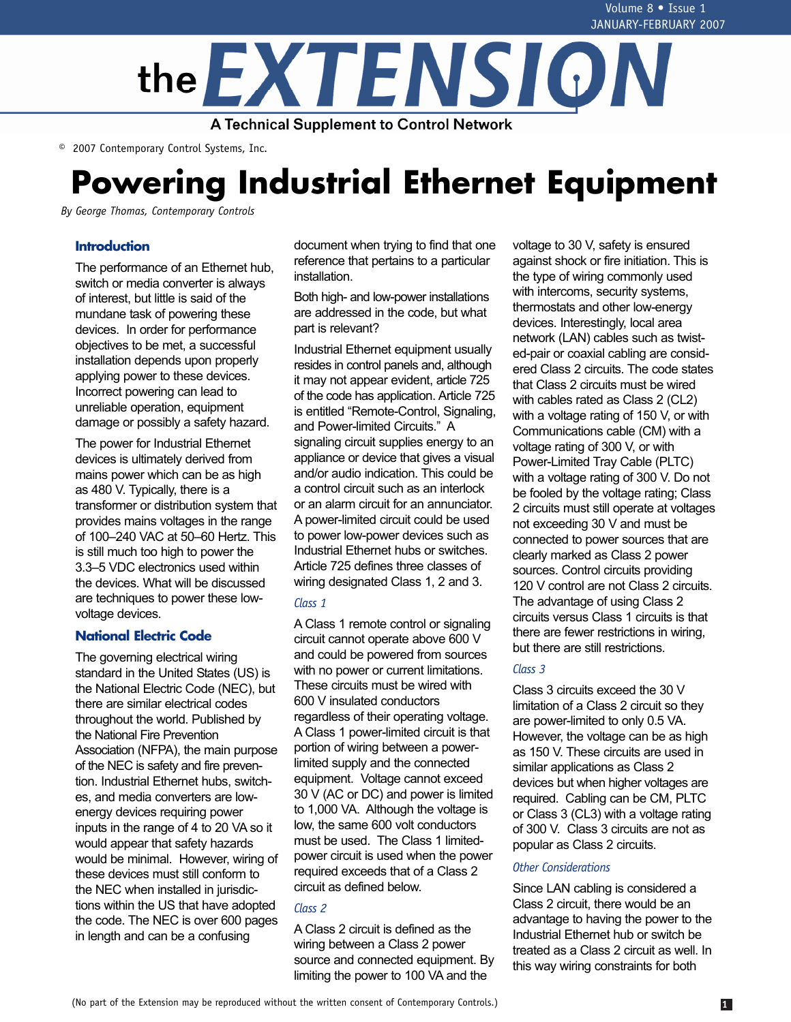

© 2007 Contemporary Control Systems, Inc.

# **Powering Industrial Ethernet Equipment**

*By George Thomas, Contemporary Controls*

# **Introduction**

The performance of an Ethernet hub, switch or media converter is always of interest, but little is said of the mundane task of powering these devices. In order for performance objectives to be met, a successful installation depends upon properly applying power to these devices. Incorrect powering can lead to unreliable operation, equipment damage or possibly a safety hazard.

The power for Industrial Ethernet devices is ultimately derived from mains power which can be as high as 480 V. Typically, there is a transformer or distribution system that provides mains voltages in the range of 100–240 VAC at 50–60 Hertz. This is still much too high to power the 3.3–5 VDC electronics used within the devices. What will be discussed are techniques to power these lowvoltage devices.

# **National Electric Code**

The governing electrical wiring standard in the United States (US) is the National Electric Code (NEC), but there are similar electrical codes throughout the world. Published by the National Fire Prevention Association (NFPA), the main purpose of the NEC is safety and fire prevention. Industrial Ethernet hubs, switches, and media converters are lowenergy devices requiring power inputs in the range of 4 to 20 VA so it would appear that safety hazards would be minimal. However, wiring of these devices must still conform to the NEC when installed in jurisdictions within the US that have adopted the code. The NEC is over 600 pages in length and can be a confusing

document when trying to find that one reference that pertains to a particular installation.

Both high- and low-power installations are addressed in the code, but what part is relevant?

Industrial Ethernet equipment usually resides in control panels and, although it may not appear evident, article 725 of the code has application. Article 725 is entitled "Remote-Control, Signaling, and Power-limited Circuits." A signaling circuit supplies energy to an appliance or device that gives a visual and/or audio indication. This could be a control circuit such as an interlock or an alarm circuit for an annunciator. A power-limited circuit could be used to power low-power devices such as Industrial Ethernet hubs or switches. Article 725 defines three classes of wiring designated Class 1, 2 and 3.

### *Class 1*

A Class 1 remote control or signaling circuit cannot operate above 600 V and could be powered from sources with no power or current limitations. These circuits must be wired with 600 V insulated conductors regardless of their operating voltage. A Class 1 power-limited circuit is that portion of wiring between a powerlimited supply and the connected equipment. Voltage cannot exceed 30 V (AC or DC) and power is limited to 1,000 VA. Although the voltage is low, the same 600 volt conductors must be used. The Class 1 limitedpower circuit is used when the power required exceeds that of a Class 2 circuit as defined below.

### *Class 2*

A Class 2 circuit is defined as the wiring between a Class 2 power source and connected equipment. By limiting the power to 100 VA and the

voltage to 30 V, safety is ensured against shock or fire initiation. This is the type of wiring commonly used with intercoms, security systems, thermostats and other low-energy devices. Interestingly, local area network (LAN) cables such as twisted-pair or coaxial cabling are considered Class 2 circuits. The code states that Class 2 circuits must be wired with cables rated as Class 2 (CL2) with a voltage rating of 150 V, or with Communications cable (CM) with a voltage rating of 300 V, or with Power-Limited Tray Cable (PLTC) with a voltage rating of 300 V. Do not be fooled by the voltage rating; Class 2 circuits must still operate at voltages not exceeding 30 V and must be connected to power sources that are clearly marked as Class 2 power sources. Control circuits providing 120 V control are not Class 2 circuits. The advantage of using Class 2 circuits versus Class 1 circuits is that there are fewer restrictions in wiring, but there are still restrictions.

## *Class 3*

Class 3 circuits exceed the 30 V limitation of a Class 2 circuit so they are power-limited to only 0.5 VA. However, the voltage can be as high as 150 V. These circuits are used in similar applications as Class 2 devices but when higher voltages are required. Cabling can be CM, PLTC or Class 3 (CL3) with a voltage rating of 300 V. Class 3 circuits are not as popular as Class 2 circuits.

#### *Other Considerations*

Since LAN cabling is considered a Class 2 circuit, there would be an advantage to having the power to the Industrial Ethernet hub or switch be treated as a Class 2 circuit as well. In this way wiring constraints for both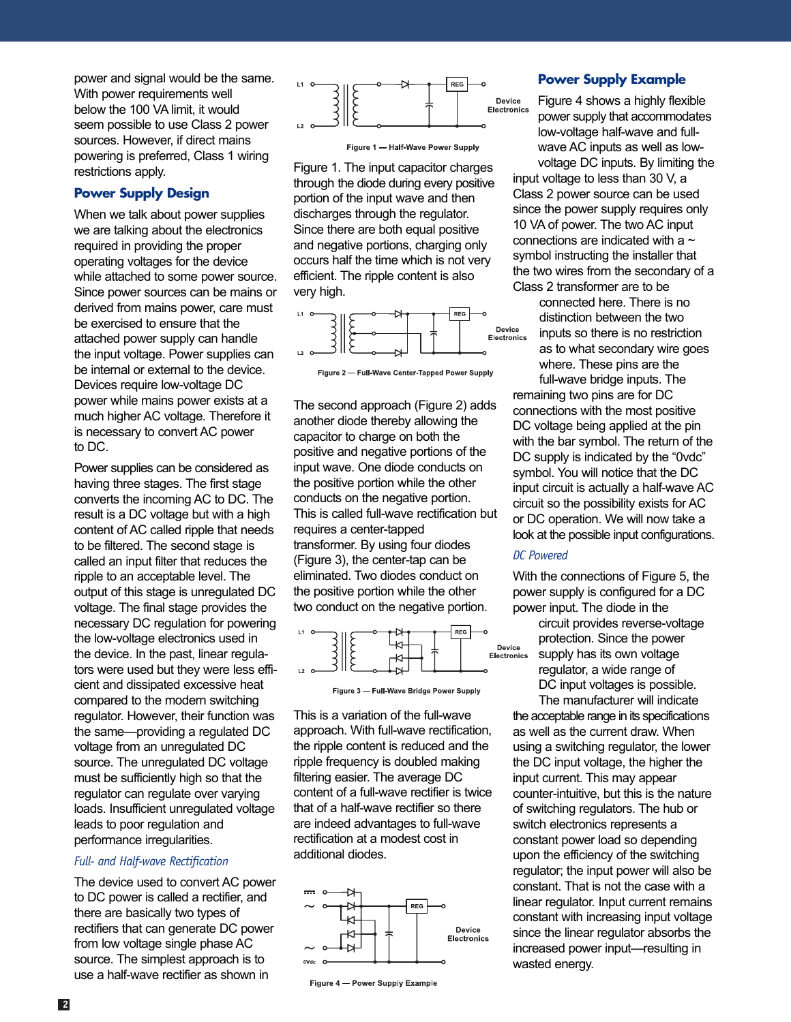power and signal would be the same. With power requirements well below the 100 VA limit, it would seem possible to use Class 2 power sources. However, if direct mains powering is preferred, Class 1 wiring restrictions apply.

# **Power Supply Design**

When we talk about power supplies we are talking about the electronics required in providing the proper operating voltages for the device while attached to some power source. Since power sources can be mains or derived from mains power, care must be exercised to ensure that the attached power supply can handle the input voltage. Power supplies can be internal or external to the device. Devices require low-voltage DC power while mains power exists at a much higher AC voltage. Therefore it is necessary to convert AC power to DC.

Power supplies can be considered as having three stages. The first stage converts the incoming AC to DC. The result is a DC voltage but with a high content of AC called ripple that needs to be filtered. The second stage is called an input filter that reduces the ripple to an acceptable level. The output of this stage is unregulated DC voltage. The final stage provides the necessary DC regulation for powering the low-voltage electronics used in the device. In the past, linear regulators were used but they were less efficient and dissipated excessive heat compared to the modern switching regulator. However, their function was the same—providing a regulated DC voltage from an unregulated DC source. The unregulated DC voltage must be sufficiently high so that the regulator can regulate over varying loads. Insufficient unregulated voltage leads to poor regulation and performance irregularities.

#### *Full- and Half-wave Rectification*

The device used to convert AC power to DC power is called a rectifier, and there are basically two types of rectifiers that can generate DC power from low voltage single phase AC source. The simplest approach is to use a half-wave rectifier as shown in



Figure 1 - Half-Wave Power Supply

Figure 1. The input capacitor charges through the diode during every positive portion of the input wave and then discharges through the regulator. Since there are both equal positive and negative portions, charging only occurs half the time which is not very efficient. The ripple content is also very high.





The second approach (Figure 2) adds another diode thereby allowing the capacitor to charge on both the positive and negative portions of the input wave. One diode conducts on the positive portion while the other conducts on the negative portion. This is called full-wave rectification but requires a center-tapped transformer. By using four diodes (Figure 3), the center-tap can be eliminated. Two diodes conduct on the positive portion while the other two conduct on the negative portion.





This is a variation of the full-wave approach. With full-wave rectification, the ripple content is reduced and the ripple frequency is doubled making filtering easier. The average DC content of a full-wave rectifier is twice that of a half-wave rectifier so there are indeed advantages to full-wave rectification at a modest cost in additional diodes.



Figure 4 - Power Supply Example

## **Power Supply Example**

Figure 4 shows a highly flexible power supply that accommodates low-voltage half-wave and fullwave AC inputs as well as lowvoltage DC inputs. By limiting the

input voltage to less than 30 V, a Class 2 power source can be used since the power supply requires only 10 VA of power. The two AC input connections are indicated with a  $\sim$ symbol instructing the installer that the two wires from the secondary of a Class 2 transformer are to be

connected here. There is no distinction between the two inputs so there is no restriction as to what secondary wire goes where. These pins are the full-wave bridge inputs. The

remaining two pins are for DC connections with the most positive DC voltage being applied at the pin with the bar symbol. The return of the DC supply is indicated by the "0vdc" symbol. You will notice that the DC input circuit is actually a half-wave AC circuit so the possibility exists for AC or DC operation. We will now take a look at the possible input configurations.

#### *DC Powered*

With the connections of Figure 5, the power supply is configured for a DC power input. The diode in the

circuit provides reverse-voltage protection. Since the power supply has its own voltage regulator, a wide range of DC input voltages is possible. The manufacturer will indicate

the acceptable range in its specifications as well as the current draw. When using a switching regulator, the lower the DC input voltage, the higher the input current. This may appear counter-intuitive, but this is the nature of switching regulators. The hub or switch electronics represents a constant power load so depending upon the efficiency of the switching regulator; the input power will also be constant. That is not the case with a linear regulator. Input current remains constant with increasing input voltage since the linear regulator absorbs the increased power input—resulting in wasted energy.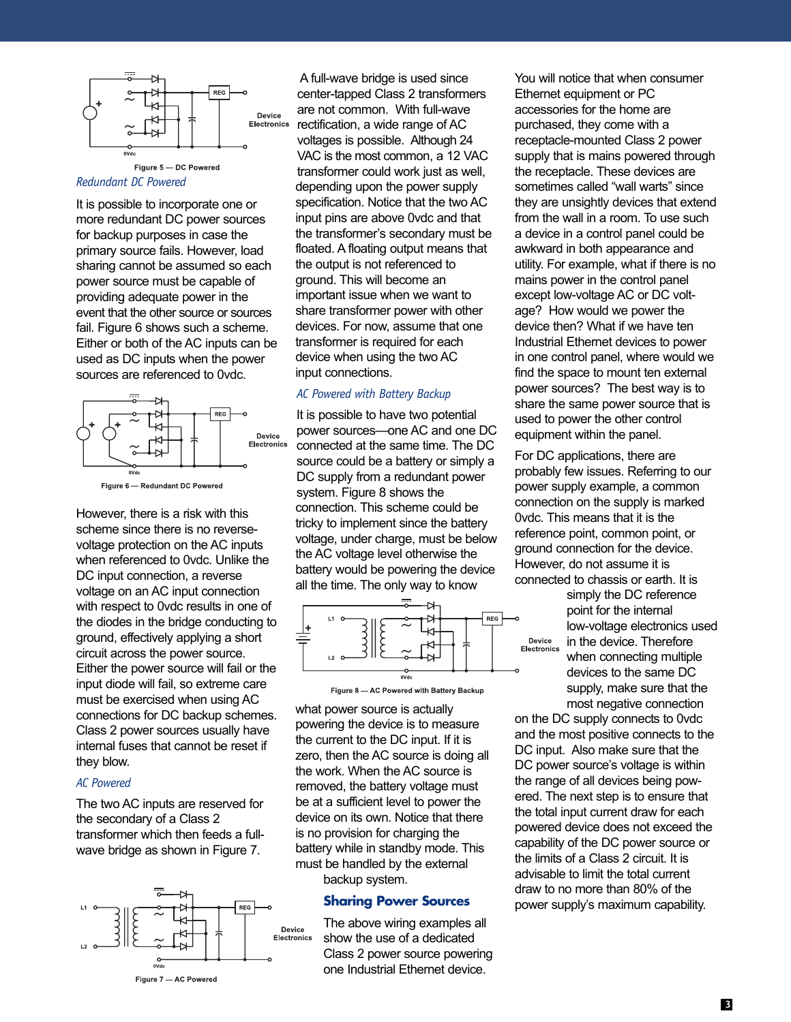

*Redundant DC Powered*

It is possible to incorporate one or more redundant DC power sources for backup purposes in case the primary source fails. However, load sharing cannot be assumed so each power source must be capable of providing adequate power in the event that the other source or sources fail. Figure 6 shows such a scheme. Either or both of the AC inputs can be used as DC inputs when the power sources are referenced to 0vdc.



However, there is a risk with this scheme since there is no reversevoltage protection on the AC inputs when referenced to 0vdc. Unlike the DC input connection, a reverse voltage on an AC input connection with respect to 0vdc results in one of the diodes in the bridge conducting to ground, effectively applying a short circuit across the power source. Either the power source will fail or the input diode will fail, so extreme care must be exercised when using AC connections for DC backup schemes. Class 2 power sources usually have internal fuses that cannot be reset if they blow.

#### *AC Powered*

The two AC inputs are reserved for the secondary of a Class 2 transformer which then feeds a fullwave bridge as shown in Figure 7.



A full-wave bridge is used since center-tapped Class 2 transformers are not common. With full-wave rectification, a wide range of AC voltages is possible. Although 24 VAC is the most common, a 12 VAC transformer could work just as well, depending upon the power supply specification. Notice that the two AC input pins are above 0vdc and that the transformer's secondary must be floated. A floating output means that the output is not referenced to ground. This will become an important issue when we want to share transformer power with other devices. For now, assume that one transformer is required for each device when using the two AC input connections.

#### *AC Powered with Battery Backup*

It is possible to have two potential power sources—one AC and one DC connected at the same time. The DC source could be a battery or simply a DC supply from a redundant power system. Figure 8 shows the connection. This scheme could be tricky to implement since the battery voltage, under charge, must be below the AC voltage level otherwise the battery would be powering the device all the time. The only way to know





what power source is actually powering the device is to measure the current to the DC input. If it is zero, then the AC source is doing all the work. When the AC source is removed, the battery voltage must be at a sufficient level to power the device on its own. Notice that there is no provision for charging the battery while in standby mode. This must be handled by the external backup system.

#### **Sharing Power Sources**

The above wiring examples all show the use of a dedicated Class 2 power source powering one Industrial Ethernet device.

You will notice that when consumer Ethernet equipment or PC accessories for the home are purchased, they come with a receptacle-mounted Class 2 power supply that is mains powered through the receptacle. These devices are sometimes called "wall warts" since they are unsightly devices that extend from the wall in a room. To use such a device in a control panel could be awkward in both appearance and utility. For example, what if there is no mains power in the control panel except low-voltage AC or DC voltage? How would we power the device then? What if we have ten Industrial Ethernet devices to power in one control panel, where would we find the space to mount ten external power sources? The best way is to share the same power source that is used to power the other control equipment within the panel.

For DC applications, there are probably few issues. Referring to our power supply example, a common connection on the supply is marked 0vdc. This means that it is the reference point, common point, or ground connection for the device. However, do not assume it is connected to chassis or earth. It is

> simply the DC reference point for the internal low-voltage electronics used in the device. Therefore when connecting multiple devices to the same DC supply, make sure that the most negative connection

on the DC supply connects to 0vdc and the most positive connects to the DC input. Also make sure that the DC power source's voltage is within the range of all devices being powered. The next step is to ensure that the total input current draw for each powered device does not exceed the capability of the DC power source or the limits of a Class 2 circuit. It is advisable to limit the total current draw to no more than 80% of the power supply's maximum capability.